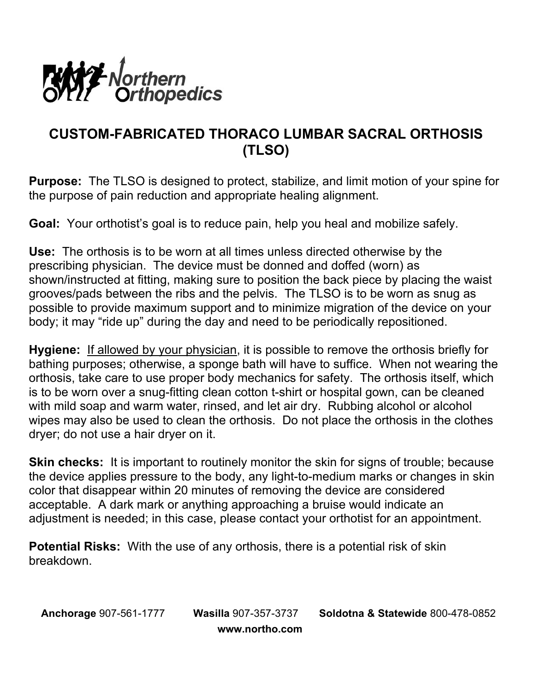

## **CUSTOM-FABRICATED THORACO LUMBAR SACRAL ORTHOSIS (TLSO)**

**Purpose:** The TLSO is designed to protect, stabilize, and limit motion of your spine for the purpose of pain reduction and appropriate healing alignment.

**Goal:** Your orthotist's goal is to reduce pain, help you heal and mobilize safely.

**Use:** The orthosis is to be worn at all times unless directed otherwise by the prescribing physician. The device must be donned and doffed (worn) as shown/instructed at fitting, making sure to position the back piece by placing the waist grooves/pads between the ribs and the pelvis. The TLSO is to be worn as snug as possible to provide maximum support and to minimize migration of the device on your body; it may "ride up" during the day and need to be periodically repositioned.

**Hygiene:** If allowed by your physician, it is possible to remove the orthosis briefly for bathing purposes; otherwise, a sponge bath will have to suffice. When not wearing the orthosis, take care to use proper body mechanics for safety. The orthosis itself, which is to be worn over a snug-fitting clean cotton t-shirt or hospital gown, can be cleaned with mild soap and warm water, rinsed, and let air dry. Rubbing alcohol or alcohol wipes may also be used to clean the orthosis. Do not place the orthosis in the clothes dryer; do not use a hair dryer on it.

**Skin checks:** It is important to routinely monitor the skin for signs of trouble; because the device applies pressure to the body, any light-to-medium marks or changes in skin color that disappear within 20 minutes of removing the device are considered acceptable. A dark mark or anything approaching a bruise would indicate an adjustment is needed; in this case, please contact your orthotist for an appointment.

**Potential Risks:** With the use of any orthosis, there is a potential risk of skin breakdown.